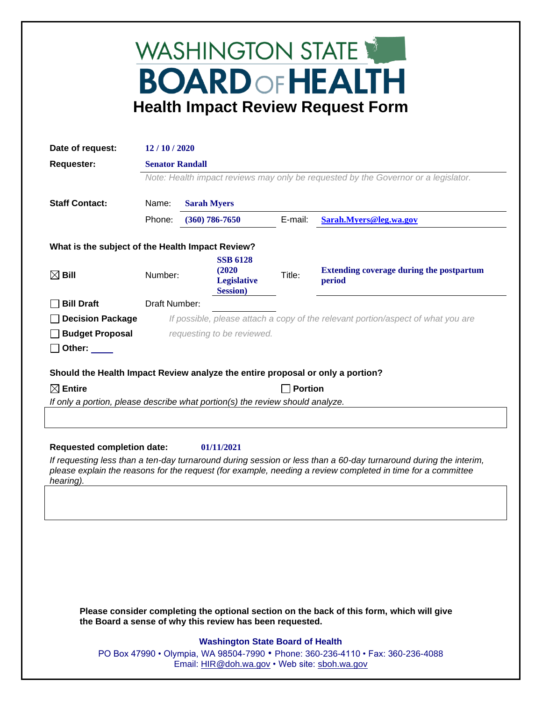## WASHINGTON STATE **BOARD OF HEALTH Health Impact Review Request Form**

| Date of request:                                                                                                                                                                                                                             | 12/10/2020                                                                         |                        |                                                                     |         |                                                           |  |
|----------------------------------------------------------------------------------------------------------------------------------------------------------------------------------------------------------------------------------------------|------------------------------------------------------------------------------------|------------------------|---------------------------------------------------------------------|---------|-----------------------------------------------------------|--|
| <b>Requester:</b>                                                                                                                                                                                                                            |                                                                                    | <b>Senator Randall</b> |                                                                     |         |                                                           |  |
|                                                                                                                                                                                                                                              | Note: Health impact reviews may only be requested by the Governor or a legislator. |                        |                                                                     |         |                                                           |  |
| <b>Staff Contact:</b>                                                                                                                                                                                                                        | Name:<br><b>Sarah Myers</b>                                                        |                        |                                                                     |         |                                                           |  |
|                                                                                                                                                                                                                                              | Phone:                                                                             |                        | $(360) 786 - 7650$                                                  | E-mail: | Sarah.Myers@leg.wa.gov                                    |  |
| What is the subject of the Health Impact Review?                                                                                                                                                                                             |                                                                                    |                        |                                                                     |         |                                                           |  |
| $\boxtimes$ Bill                                                                                                                                                                                                                             | Number:                                                                            |                        | <b>SSB 6128</b><br>(2020)<br><b>Legislative</b><br><b>Session</b> ) | Title:  | <b>Extending coverage during the postpartum</b><br>period |  |
| <b>Bill Draft</b>                                                                                                                                                                                                                            | Draft Number:                                                                      |                        |                                                                     |         |                                                           |  |
| <b>Decision Package</b>                                                                                                                                                                                                                      | If possible, please attach a copy of the relevant portion/aspect of what you are   |                        |                                                                     |         |                                                           |  |
| <b>Budget Proposal</b><br>Other:                                                                                                                                                                                                             | requesting to be reviewed.                                                         |                        |                                                                     |         |                                                           |  |
| Should the Health Impact Review analyze the entire proposal or only a portion?                                                                                                                                                               |                                                                                    |                        |                                                                     |         |                                                           |  |
| $\boxtimes$ Entire                                                                                                                                                                                                                           | <b>Portion</b>                                                                     |                        |                                                                     |         |                                                           |  |
| If only a portion, please describe what portion(s) the review should analyze.                                                                                                                                                                |                                                                                    |                        |                                                                     |         |                                                           |  |
|                                                                                                                                                                                                                                              |                                                                                    |                        |                                                                     |         |                                                           |  |
|                                                                                                                                                                                                                                              |                                                                                    |                        |                                                                     |         |                                                           |  |
| <b>Requested completion date:</b><br>01/11/2021                                                                                                                                                                                              |                                                                                    |                        |                                                                     |         |                                                           |  |
| If requesting less than a ten-day turnaround during session or less than a 60-day turnaround during the interim,<br>please explain the reasons for the request (for example, needing a review completed in time for a committee<br>hearing). |                                                                                    |                        |                                                                     |         |                                                           |  |
|                                                                                                                                                                                                                                              |                                                                                    |                        |                                                                     |         |                                                           |  |

**Please consider completing the optional section on the back of this form, which will give the Board a sense of why this review has been requested.**

## **Washington State Board of Health**

PO Box 47990 • Olympia, WA 98504-7990 • Phone: 360-236-4110 • Fax: 360-236-4088 Email: [HIR@doh.wa.gov](mailto:HIR@doh.wa.gov) • Web site: [sboh.wa.gov](http://www.sboh.wa.gov/hdcouncil/)